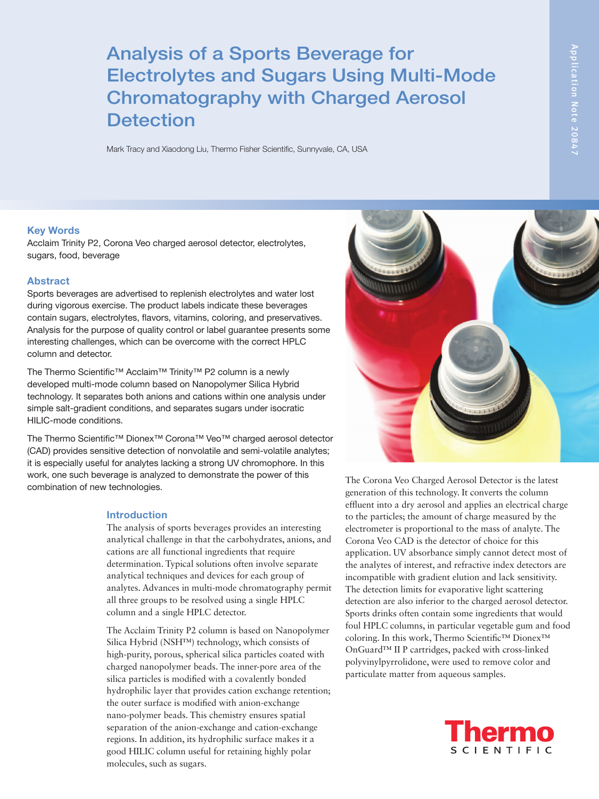# Analysis of a Sports Beverage for Electrolytes and Sugars Using Multi-Mode Chromatography with Charged Aerosol **Detection**

Mark Tracy and Xiaodong Liu, Thermo Fisher Scientific, Sunnyvale, CA, USA

#### Key Words

Acclaim Trinity P2, Corona Veo charged aerosol detector, electrolytes, sugars, food, beverage

### Abstract

Sports beverages are advertised to replenish electrolytes and water lost during vigorous exercise. The product labels indicate these beverages contain sugars, electrolytes, flavors, vitamins, coloring, and preservatives. Analysis for the purpose of quality control or label guarantee presents some interesting challenges, which can be overcome with the correct HPLC column and detector.

The Thermo Scientific™ Acclaim™ Trinity™ P2 column is a newly developed multi-mode column based on Nanopolymer Silica Hybrid technology. It separates both anions and cations within one analysis under simple salt-gradient conditions, and separates sugars under isocratic HILIC-mode conditions.

The Thermo Scientific™ Dionex™ Corona™ Veo™ charged aerosol detector (CAD) provides sensitive detection of nonvolatile and semi-volatile analytes; it is especially useful for analytes lacking a strong UV chromophore. In this work, one such beverage is analyzed to demonstrate the power of this combination of new technologies.

### Introduction

The analysis of sports beverages provides an interesting analytical challenge in that the carbohydrates, anions, and cations are all functional ingredients that require determination. Typical solutions often involve separate analytical techniques and devices for each group of analytes. Advances in multi-mode chromatography permit all three groups to be resolved using a single HPLC column and a single HPLC detector.

The Acclaim Trinity P2 column is based on Nanopolymer Silica Hybrid (NSH™) technology, which consists of high-purity, porous, spherical silica particles coated with charged nanopolymer beads. The inner-pore area of the silica particles is modified with a covalently bonded hydrophilic layer that provides cation exchange retention; the outer surface is modified with anion-exchange nano-polymer beads. This chemistry ensures spatial separation of the anion-exchange and cation-exchange regions. In addition, its hydrophilic surface makes it a good HILIC column useful for retaining highly polar molecules, such as sugars.



The Corona Veo Charged Aerosol Detector is the latest generation of this technology. It converts the column effluent into a dry aerosol and applies an electrical charge to the particles; the amount of charge measured by the electrometer is proportional to the mass of analyte. The Corona Veo CAD is the detector of choice for this application. UV absorbance simply cannot detect most of the analytes of interest, and refractive index detectors are incompatible with gradient elution and lack sensitivity. The detection limits for evaporative light scattering detection are also inferior to the charged aerosol detector. Sports drinks often contain some ingredients that would foul HPLC columns, in particular vegetable gum and food coloring. In this work, Thermo Scientific™ Dionex™ OnGuard™ II P cartridges, packed with cross-linked polyvinylpyrrolidone, were used to remove color and particulate matter from aqueous samples.

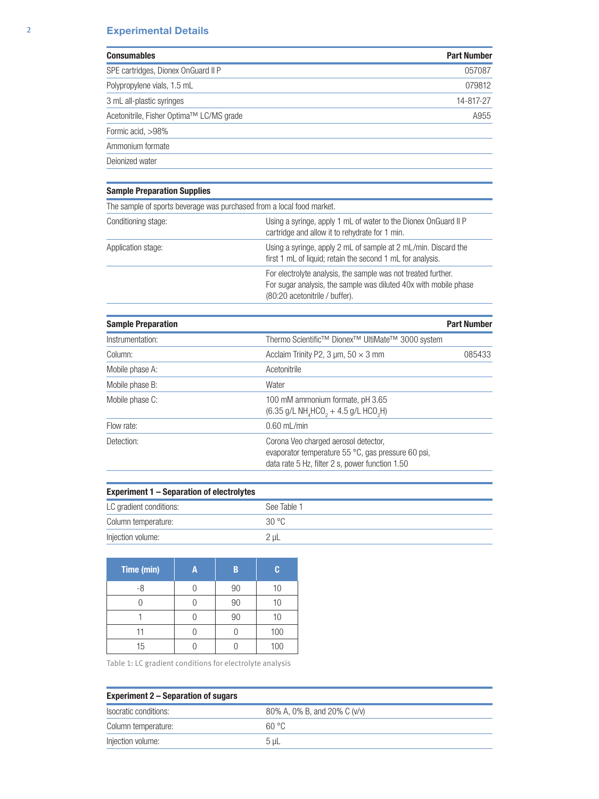# 2 Experimental Details

| <b>Consumables</b>                       | <b>Part Number</b> |
|------------------------------------------|--------------------|
| SPE cartridges, Dionex OnGuard II P      | 057087             |
| Polypropylene vials, 1.5 mL              | 079812             |
| 3 mL all-plastic syringes                | 14-817-27          |
| Acetonitrile, Fisher Optima™ LC/MS grade | A955               |
| Formic acid, >98%                        |                    |
| Ammonium formate                         |                    |
| Deionized water                          |                    |

# Sample Preparation Supplies

| The sample of sports beverage was purchased from a local food market. |                                                                                                                                                                     |  |
|-----------------------------------------------------------------------|---------------------------------------------------------------------------------------------------------------------------------------------------------------------|--|
| Conditioning stage:                                                   | Using a syringe, apply 1 mL of water to the Dionex OnGuard II P<br>cartridge and allow it to rehydrate for 1 min.                                                   |  |
| Application stage:                                                    | Using a syringe, apply 2 mL of sample at 2 mL/min. Discard the<br>first 1 mL of liquid; retain the second 1 mL for analysis.                                        |  |
|                                                                       | For electrolyte analysis, the sample was not treated further.<br>For sugar analysis, the sample was diluted 40x with mobile phase<br>(80:20 acetonitrile / buffer). |  |

| <b>Sample Preparation</b> |                                                                                                                                               | <b>Part Number</b> |
|---------------------------|-----------------------------------------------------------------------------------------------------------------------------------------------|--------------------|
| Instrumentation:          | Thermo Scientific <sup>™</sup> Dionex <sup>™</sup> UltiMate <sup>™</sup> 3000 system                                                          |                    |
| Column:                   | Acclaim Trinity P2, 3 $\mu$ m, 50 $\times$ 3 mm                                                                                               | 085433             |
| Mobile phase A:           | Acetonitrile                                                                                                                                  |                    |
| Mobile phase B:           | Water                                                                                                                                         |                    |
| Mobile phase C:           | 100 mM ammonium formate, pH 3.65<br>$(6.35 \text{ g/L NH}_{4}$ HCO <sub>2</sub> + 4.5 g/L HCO <sub>2</sub> H)                                 |                    |
| Flow rate:                | $0.60$ mL/min                                                                                                                                 |                    |
| Detection:                | Corona Veo charged aerosol detector,<br>evaporator temperature 55 °C, gas pressure 60 psi,<br>data rate 5 Hz, filter 2 s, power function 1.50 |                    |

| Experiment 1 – Separation of electrolytes |             |  |  |
|-------------------------------------------|-------------|--|--|
| LC gradient conditions:                   | See Table 1 |  |  |
| Column temperature:                       | 30 °C       |  |  |
| Injection volume:                         | 2 uL        |  |  |

| Time (min) | Α | R  | C   |
|------------|---|----|-----|
| -8         |   | 90 | 10  |
|            |   | 90 | 10  |
|            |   | 90 | 10  |
| 11         |   |    | 100 |
| 15         |   |    | 100 |

Table 1: LC gradient conditions for electrolyte analysis

| <b>Experiment 2 – Separation of sugars</b> |                              |  |
|--------------------------------------------|------------------------------|--|
| Isocratic conditions:                      | 80% A, 0% B, and 20% C (v/v) |  |
| Column temperature:                        | 60 °C                        |  |
| Injection volume:                          | 5 uL                         |  |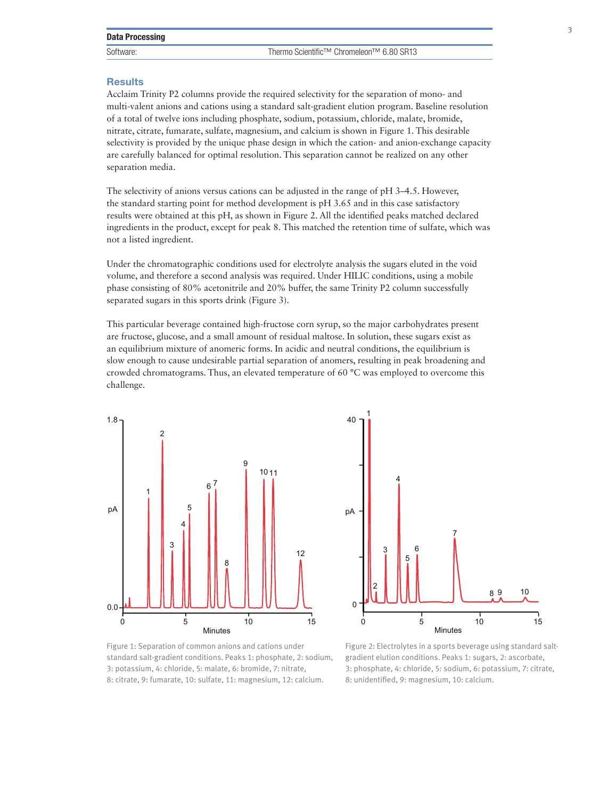#### **Results**

Acclaim Trinity P2 columns provide the required selectivity for the separation of mono- and multi-valent anions and cations using a standard salt-gradient elution program. Baseline resolution of a total of twelve ions including phosphate, sodium, potassium, chloride, malate, bromide, nitrate, citrate, fumarate, sulfate, magnesium, and calcium is shown in Figure 1. This desirable selectivity is provided by the unique phase design in which the cation- and anion-exchange capacity are carefully balanced for optimal resolution. This separation cannot be realized on any other separation media.

The selectivity of anions versus cations can be adjusted in the range of pH 3–4.5. However, the standard starting point for method development is pH 3.65 and in this case satisfactory results were obtained at this pH, as shown in Figure 2. All the identified peaks matched declared ingredients in the product, except for peak 8. This matched the retention time of sulfate, which was not a listed ingredient.

Under the chromatographic conditions used for electrolyte analysis the sugars eluted in the void volume, and therefore a second analysis was required. Under HILIC conditions, using a mobile phase consisting of 80% acetonitrile and 20% buffer, the same Trinity P2 column successfully separated sugars in this sports drink (Figure 3).

This particular beverage contained high-fructose corn syrup, so the major carbohydrates present are fructose, glucose, and a small amount of residual maltose. In solution, these sugars exist as an equilibrium mixture of anomeric forms. In acidic and neutral conditions, the equilibrium is slow enough to cause undesirable partial separation of anomers, resulting in peak broadening and crowded chromatograms. Thus, an elevated temperature of 60 °C was employed to overcome this challenge.





Figure 1: Separation of common anions and cations under standard salt-gradient conditions. Peaks 1: phosphate, 2: sodium, 3: potassium, 4: chloride, 5: malate, 6: bromide, 7: nitrate, 8: citrate, 9: fumarate, 10: sulfate, 11: magnesium, 12: calcium.

Figure 2: Electrolytes in a sports beverage using standard saltgradient elution conditions. Peaks 1: sugars, 2: ascorbate, 3: phosphate, 4: chloride, 5: sodium, 6: potassium, 7: citrate, 8: unidentified, 9: magnesium, 10: calcium.